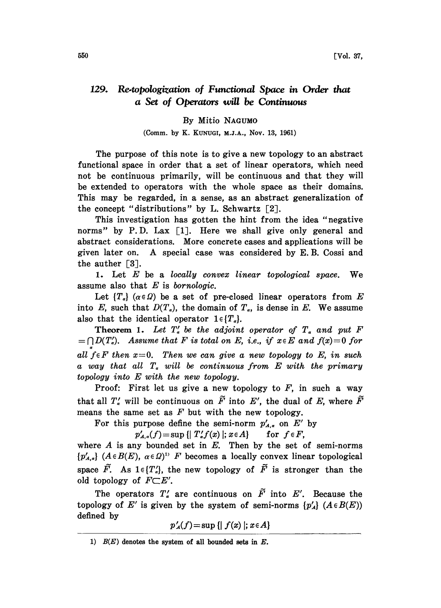## 129. Re-topologization of Functional Space in Order that a Set of Operators will be Continuous

## By Mitio NACUMO

## (Comm. by K. KUNUGI, M.J.A., Nov. 13, 1961)

The purpose of this note is to give a new topology to an abstract functional space in order that a set of linear operators, which need not be continuous primarily, will be continuous and that they will be extended to operators with the whole space as their domains. This may be regarded, in a sense, as an abstract generalization of the concept "distributions" by L. Schwartz [2].

This investigation has gotten the hint from the idea "negative norms" by P.D. Lax [1]. Here we shall give only general and abstract considerations. More concrete cases and applications will be given later on. A special case was considered by E.B. Cossi and the auther  $[3]$ .

1. Let  $E$  be a locally convex linear topological space. We assume also that  $E$  is bornologic.

Let  $\{T_{\alpha}\}\ (\alpha \in \Omega)$  be a set of pre-closed linear operators from E into E, such that  $D(T_a)$ , the domain of  $T_a$ , is dense in E. We assume also that the identical operator  $1 \in \{T_a\}.$ 

**Theorem 1.** Let  $T'_a$  be the adjoint operator of  $T_a$  and put F  $\Gamma=\bigcap D(T'_a)$ . Assume that F is total on E, i.e., if  $x\in E$  and  $f(x)=0$  for all  $f \in F$  then  $x=0$ . Then we can give a new topology to E, in such a way that all  $T_a$  will be continuous from  $E$  with the primary topology into E with the new topology.

Proof: First let us give a new topology to  $F$ , in such a way that all  $T'_s$  will be continuous on  $\tilde{F}$  into E', the dual of E, where  $\tilde{F}$ means the same set as  $F$  but with the new topology.

For this purpose define the semi-norm  $p'_{A,\alpha}$  on E' by

 $p'_{A,\alpha}(f) = \sup \{ | T'_\alpha f(x) |; \, x \in A \}$  for  $f \in F$ ,

where  $A$  is any bounded set in  $E$ . Then by the set of semi-norms  ${p'_{A,a}}$   $(A \in B(E), \ \alpha \in \Omega)^{1}$  F becomes a locally convex linear topological space  $\tilde{F}$ . As  $1 \in \{T'_\n\}$ , the new topology of  $\tilde{F}$  is stronger than the old topology of  $F \subset E'$ .

The operators  $T'_a$  are continuous on  $\tilde{F}$  into E'. Because the topology of E' is given by the system of semi-norms  ${p'_A}$   $(A \in B(E))$ defined by

 $p'_{A}(f)$  = sup { $| f(x) |$ ;  $x \in A$ }

<sup>1)</sup>  $B(E)$  denotes the system of all bounded sets in  $E$ .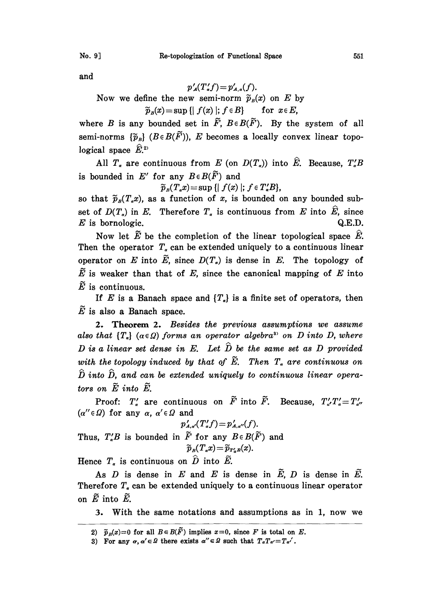and

 $p'_A(T'_a f) = p'_{A_a}(f).$ Now we define the new semi-norm  $\widetilde{p}_B(x)$  on E by  $\widetilde{p}_B(x) = \sup \{ | f(x) |; f \in B \}$  for  $x \in E$ ,

where B is any bounded set in  $\tilde{F}$ ,  $B \in B(\tilde{F})$ . By the system of all semi-norms  $\{\widetilde{p}_B\}$  ( $B \in B(\widetilde{F})$ ), E becomes a locally convex linear topological space  $\widehat{E}^{2}$ .

All  $T_a$  are continuous from E (on  $D(T_a)$ ) into  $\hat{E}$ . Because,  $T_a'B$ is bounded in E' for any  $B \in B(\tilde{F})$  and

$$
\widetilde{p}_B(T_\alpha x) = \sup \{ | f(x) |; f \in T'_\alpha B \},\
$$

so that  $\tilde{p}_B(T_a x)$ , as a function of x, is bounded on any bounded subset of  $D(T_a)$  in E. Therefore  $T_a$  is continuous from E into  $\hat{E}$ , since  $E$  is bornologic.  $Q.E.D.$ 

Now let  $\tilde{E}$  be the completion of the linear topological space  $\hat{E}$ . Then the operator  $T_a$  can be extended uniquely to a continuous linear operator on E into  $\widetilde{E}$ , since  $D(T<sub>a</sub>)$  is dense in E. The topology of  $\widetilde{E}$  is weaker than that of E, since the canonical mapping of E into  $\tilde{E}$  is continuous.

If E is a Banach space and  $\{T_a\}$  is a finite set of operators, then  $\tilde{E}$  is also a Banach space.

2. Theorem 2. Besides the previous assumptions we assume also that  $\{T_{\alpha}\}\ (\alpha \in \Omega)$  forms an operator algebra<sup>3</sup> on D into D, where  $D$  is a linear set dense in E. Let  $\widehat{D}$  be the same set as  $D$  provided with the topology induced by that of  $\widetilde{E}$ . Then  $T_a$  are continuous on  $\hat{D}$  into  $\hat{D}$ , and can be extended uniquely to continuous linear operators on  $\widetilde{E}$  into  $\widetilde{E}$ .

Proof:  $T'_a$  are continuous on  $\tilde{F}$  into  $\tilde{F}$ . Because,  $T'_a/T'_a = T'_{a'}$  $(\alpha'' \in \Omega)$  for any  $\alpha$ ,  $\alpha' \in \Omega$  and

 $p'_{A,a'}(T'_{a}f) = p'_{A,a''}(f).$ Thus,  $T'_sB$  is bounded in  $\widetilde{F}$  for any  $B\in B(\widetilde{F})$  and  $\widetilde{p}_B(T_{\alpha}x) = \widetilde{p}_{T'_{\alpha}B}(x).$ 

Hence  $T_a$  is continuous on  $\hat{D}$  into  $\tilde{E}$ .

As  $D$  is dense in  $E$  and  $E$  is dense in  $\widetilde{E}$ ,  $D$  is dense in  $\widetilde{E}$ . Therefore  $T<sub>a</sub>$  can be extended uniquely to a continuous linear operator on  $\widetilde{E}$  into  $\widetilde{E}$ .

3. With the same notations and assumptions as in 1, now we

<sup>2)</sup>  $\widetilde{p}_B(x)=0$  for all  $B\in B(\widetilde{F})$  implies  $x=0$ , since F is total on E.

<sup>3)</sup> For any  $\alpha, \alpha' \in \Omega$  there exists  $\alpha'' \in \Omega$  such that  $T_{\alpha}T_{\alpha'}=T_{\alpha'}$ .